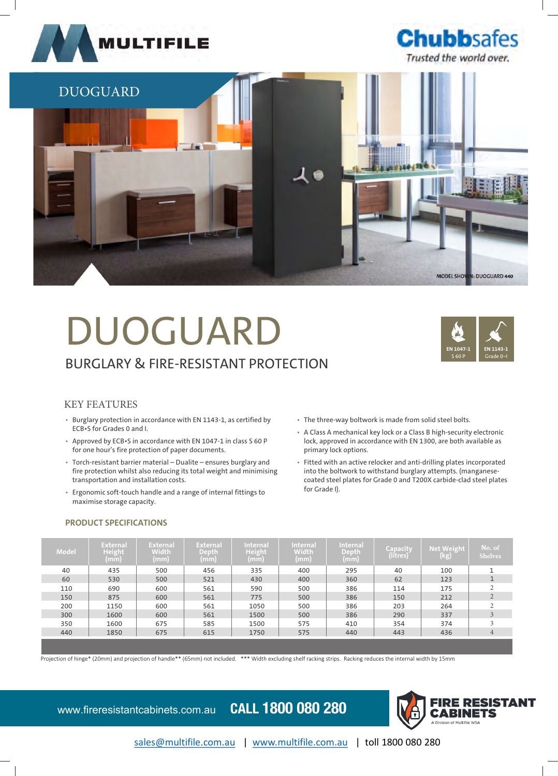





# DUOGUARD BURGLARY & FIRE-RESISTANT PROTECTION



# KEY FEATURES

- Burglary protection in accordance with EN 1143-1, as certified by ECB•S for Grades 0 and I.
- Approved by ECB•S in accordance with EN 1047-1 in class S 60 P for one hour's fire protection of paper documents.
- Torch-resistant barrier material Dualite ensures burglary and fire protection whilst also reducing its total weight and minimising transportation and installation costs.
- Ergonomic soft-touch handle and a range of internal fittings to maximise storage capacity.

## • The three-way boltwork is made from solid steel bolts.

- A Class A mechanical key lock or a Class B high-security electronic lock, approved in accordance with EN 1300, are both available as primary lock options.
- Fitted with an active relocker and anti-drilling plates incorporated into the boltwork to withstand burglary attempts. (manganesecoated steel plates for Grade 0 and T200X carbide-clad steel plates for Grade I).

# **PRODUCT SPECIFICATIONS**

| Model | <b>External</b><br>Height<br>(mm) | <b>External</b><br>Width<br>(mm) | <b>External</b><br>Depth<br>(mm) | <b>Internal</b><br>Height<br>(mm) | <b>Internal</b><br>Width<br>(mm) | <b>Internal</b><br>Depth<br>(mm) | Capacity<br>(litres) | <b>Net Weight</b><br>(kg) | No. of<br><b>Shelves</b> |
|-------|-----------------------------------|----------------------------------|----------------------------------|-----------------------------------|----------------------------------|----------------------------------|----------------------|---------------------------|--------------------------|
| 40    | 435                               | 500                              | 456                              | 335                               | 400                              | 295                              | 40                   | 100                       |                          |
| 60    | 530                               | 500                              | 521                              | 430                               | 400                              | 360                              | 62                   | 123                       |                          |
| 110   | 690                               | 600                              | 561                              | 590                               | 500                              | 386                              | 114                  | 175                       |                          |
| 150   | 875                               | 600                              | 561                              | 775                               | 500                              | 386                              | 150                  | 212                       | 2                        |
| 200   | 1150                              | 600                              | 561                              | 1050                              | 500                              | 386                              | 203                  | 264                       |                          |
| 300   | 1600                              | 600                              | 561                              | 1500                              | 500                              | 386                              | 290                  | 337                       | 3                        |
| 350   | 1600                              | 675                              | 585                              | 1500                              | 575                              | 410                              | 354                  | 374                       |                          |
| 440   | 1850                              | 675                              | 615                              | 1750                              | 575                              | 440                              | 443                  | 436                       | 4                        |
|       |                                   |                                  |                                  |                                   |                                  |                                  |                      |                           |                          |

Projection of hinge\* (20mm) and projection of handle\*\* (65mm) not included. \*\*\* Width excluding shelf racking strips. Racking reduces the internal width by 15mm

www.fireresistantcabinets.com.au **CALL 1800 080 280**



sales@multifile.com.au | www.multifile.com.au | toll 1800 080 280